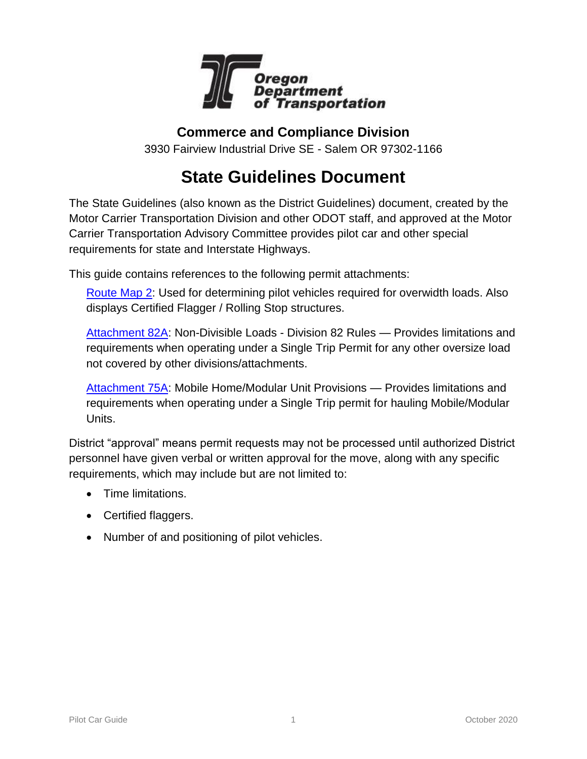

### **Commerce and Compliance Division**

3930 Fairview Industrial Drive SE - Salem OR 97302-1166

# **State Guidelines Document**

The State Guidelines (also known as the District Guidelines) document, created by the Motor Carrier Transportation Division and other ODOT staff, and approved at the Motor Carrier Transportation Advisory Committee provides pilot car and other special requirements for state and Interstate Highways.

This guide contains references to the following permit attachments:

[Route Map 2:](https://www.oregon.gov/ODOT/Forms/Motcarr/8101.pdf) Used for determining pilot vehicles required for overwidth loads. Also displays Certified Flagger / Rolling Stop structures.

[Attachment 82A:](https://www.oregon.gov/ODOT/Forms/Motcarr/1994.pdf) Non-Divisible Loads - Division 82 Rules — Provides limitations and requirements when operating under a Single Trip Permit for any other oversize load not covered by other divisions/attachments.

[Attachment 75A:](https://www.oregon.gov/ODOT/Forms/Motcarr/2352.pdf) Mobile Home/Modular Unit Provisions — Provides limitations and requirements when operating under a Single Trip permit for hauling Mobile/Modular Units.

District "approval" means permit requests may not be processed until authorized District personnel have given verbal or written approval for the move, along with any specific requirements, which may include but are not limited to:

- Time limitations.
- Certified flaggers.
- Number of and positioning of pilot vehicles.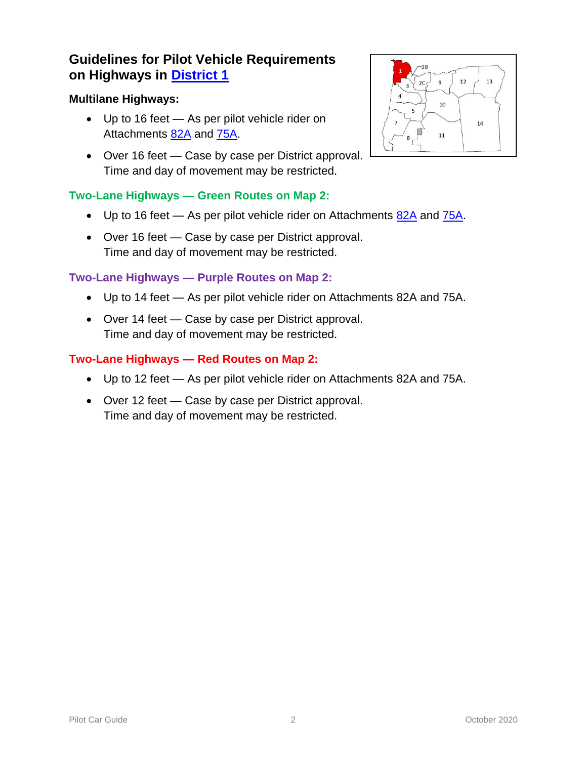#### **Multilane Highways:**

- Up to 16 feet As per pilot vehicle rider on Attachments [82A](https://www.oregon.gov/ODOT/Forms/Motcarr/1994.pdf) and [75A.](https://www.oregon.gov/ODOT/Forms/Motcarr/2352.pdf)
- Over 16 feet Case by case per District approval. Time and day of movement may be restricted.

#### **Two-Lane Highways — Green Routes on Map 2:**

- $\bullet$  Up to 16 feet As per pilot vehicle rider on Attachments [82A](https://www.oregon.gov/ODOT/Forms/Motcarr/1994.pdf) and [75A.](https://www.oregon.gov/ODOT/Forms/Motcarr/2352.pdf)
- Over 16 feet Case by case per District approval. Time and day of movement may be restricted.

#### **Two-Lane Highways — Purple Routes on Map 2:**

- Up to 14 feet As per pilot vehicle rider on Attachments [82A](https://www.oregon.gov/ODOT/Forms/Motcarr/1994.pdf) and [75A.](https://www.oregon.gov/ODOT/Forms/Motcarr/2352.pdf)
- Over 14 feet Case by case per District approval. Time and day of movement may be restricted.

- Up to 12 feet As per pilot vehicle rider on Attachments [82A](https://www.oregon.gov/ODOT/Forms/Motcarr/1994.pdf) and [75A.](https://www.oregon.gov/ODOT/Forms/Motcarr/2352.pdf)
- Over 12 feet Case by case per District approval. Time and day of movement may be restricted.

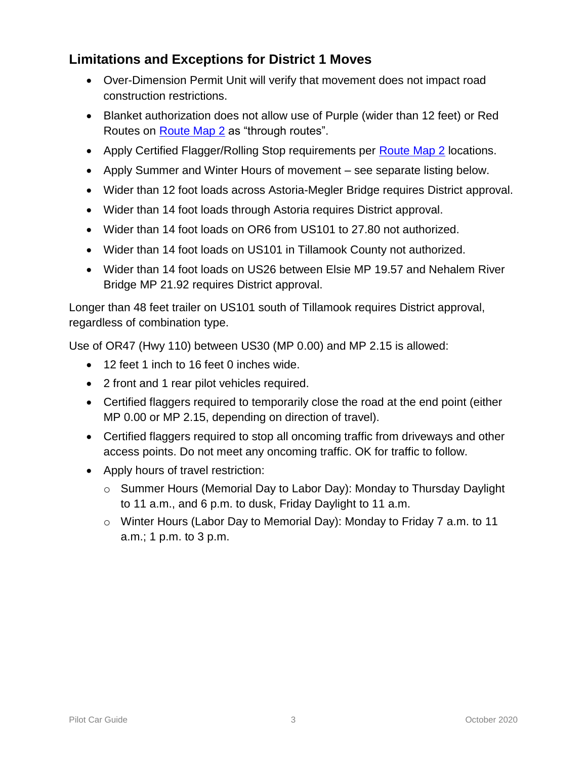# **Limitations and Exceptions for District 1 Moves**

- Over-Dimension Permit Unit will verify that movement does not impact road construction restrictions.
- Blanket authorization does not allow use of Purple (wider than 12 feet) or Red Routes on **Route Map 2** as "through routes".
- Apply Certified Flagger/Rolling Stop requirements per **Route Map 2** locations.
- Apply Summer and Winter Hours of movement see separate listing below.
- Wider than 12 foot loads across Astoria-Megler Bridge requires District approval.
- Wider than 14 foot loads through Astoria requires District approval.
- Wider than 14 foot loads on OR6 from US101 to 27.80 not authorized.
- Wider than 14 foot loads on US101 in Tillamook County not authorized.
- Wider than 14 foot loads on US26 between Elsie MP 19.57 and Nehalem River Bridge MP 21.92 requires District approval.

Longer than 48 feet trailer on US101 south of Tillamook requires District approval, regardless of combination type.

Use of OR47 (Hwy 110) between US30 (MP 0.00) and MP 2.15 is allowed:

- 12 feet 1 inch to 16 feet 0 inches wide.
- 2 front and 1 rear pilot vehicles required.
- Certified flaggers required to temporarily close the road at the end point (either MP 0.00 or MP 2.15, depending on direction of travel).
- Certified flaggers required to stop all oncoming traffic from driveways and other access points. Do not meet any oncoming traffic. OK for traffic to follow.
- Apply hours of travel restriction:
	- $\circ$  Summer Hours (Memorial Day to Labor Day): Monday to Thursday Daylight to 11 a.m., and 6 p.m. to dusk, Friday Daylight to 11 a.m.
	- o Winter Hours (Labor Day to Memorial Day): Monday to Friday 7 a.m. to 11 a.m.; 1 p.m. to 3 p.m.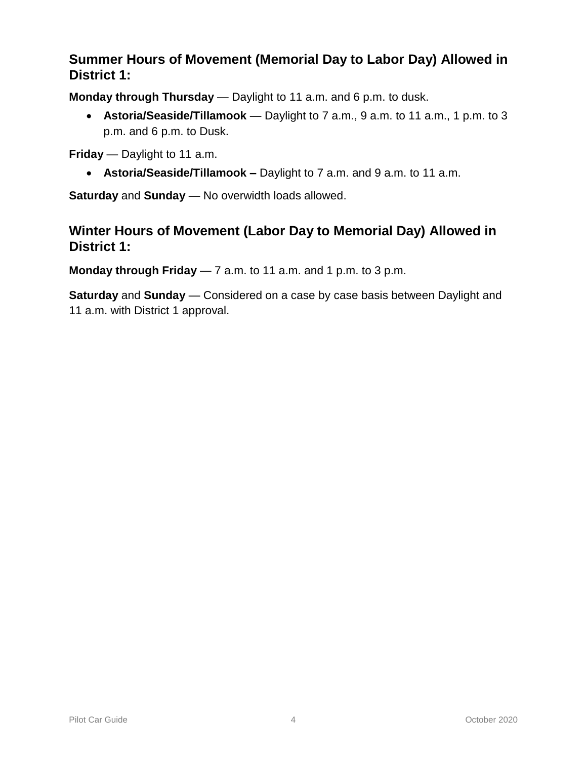# **Summer Hours of Movement (Memorial Day to Labor Day) Allowed in District 1:**

**Monday through Thursday** — Daylight to 11 a.m. and 6 p.m. to dusk.

 **Astoria/Seaside/Tillamook** — Daylight to 7 a.m., 9 a.m. to 11 a.m., 1 p.m. to 3 p.m. and 6 p.m. to Dusk.

**Friday** — Daylight to 11 a.m.

**Astoria/Seaside/Tillamook –** Daylight to 7 a.m. and 9 a.m. to 11 a.m.

**Saturday** and **Sunday** — No overwidth loads allowed.

### **Winter Hours of Movement (Labor Day to Memorial Day) Allowed in District 1:**

**Monday through Friday** — 7 a.m. to 11 a.m. and 1 p.m. to 3 p.m.

**Saturday** and **Sunday** — Considered on a case by case basis between Daylight and 11 a.m. with District 1 approval.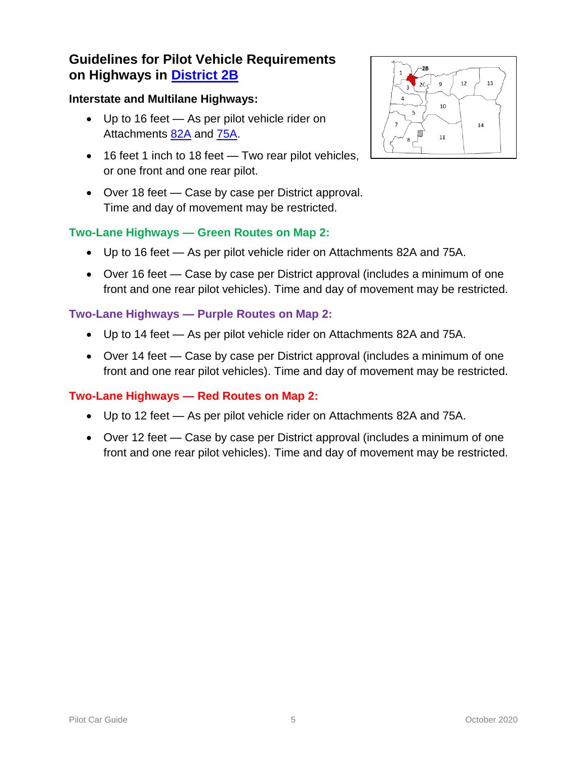#### **Interstate and Multilane Highways:**

- Up to 16 feet As per pilot vehicle rider on Attachments [82A](https://www.oregon.gov/ODOT/Forms/Motcarr/1994.pdf) and [75A.](https://www.oregon.gov/ODOT/Forms/Motcarr/2352.pdf)
- 16 feet 1 inch to 18 feet Two rear pilot vehicles, or one front and one rear pilot.
- Over 18 feet Case by case per District approval. Time and day of movement may be restricted.

### **Two-Lane Highways — Green Routes on Map 2:**

- Up to 16 feet As per pilot vehicle rider on Attachments [82A](https://www.oregon.gov/ODOT/Forms/Motcarr/1994.pdf) and [75A.](https://www.oregon.gov/ODOT/Forms/Motcarr/2352.pdf)
- Over 16 feet Case by case per District approval (includes a minimum of one front and one rear pilot vehicles). Time and day of movement may be restricted.

#### **Two-Lane Highways — Purple Routes on Map 2:**

- Up to 14 feet As per pilot vehicle rider on Attachments [82A](https://www.oregon.gov/ODOT/Forms/Motcarr/1994.pdf) and [75A.](https://www.oregon.gov/ODOT/Forms/Motcarr/2352.pdf)
- Over 14 feet Case by case per District approval (includes a minimum of one front and one rear pilot vehicles). Time and day of movement may be restricted.

- Up to 12 feet As per pilot vehicle rider on Attachments [82A](https://www.oregon.gov/ODOT/Forms/Motcarr/1994.pdf) and [75A.](https://www.oregon.gov/ODOT/Forms/Motcarr/2352.pdf)
- Over 12 feet Case by case per District approval (includes a minimum of one front and one rear pilot vehicles). Time and day of movement may be restricted.

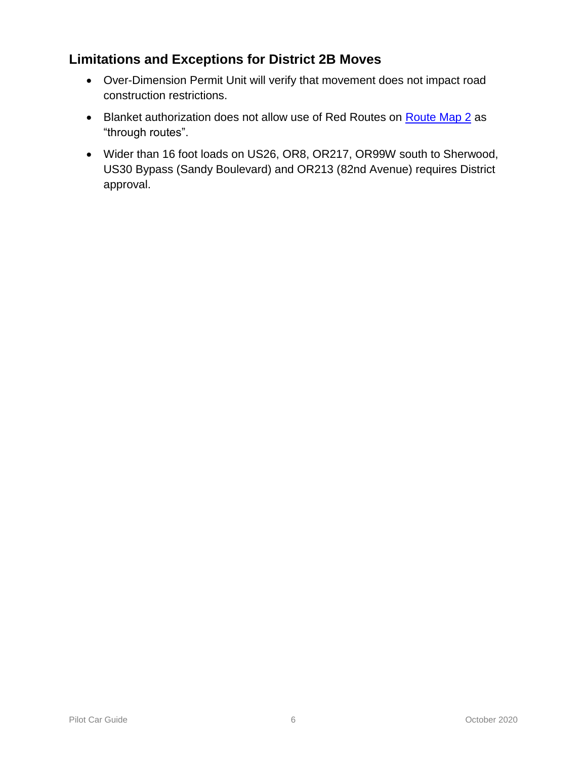# **Limitations and Exceptions for District 2B Moves**

- Over-Dimension Permit Unit will verify that movement does not impact road construction restrictions.
- Blanket authorization does not allow use of Red Routes on [Route Map 2](https://www.oregon.gov/ODOT/Forms/Motcarr/8101.pdf) as "through routes".
- Wider than 16 foot loads on US26, OR8, OR217, OR99W south to Sherwood, US30 Bypass (Sandy Boulevard) and OR213 (82nd Avenue) requires District approval.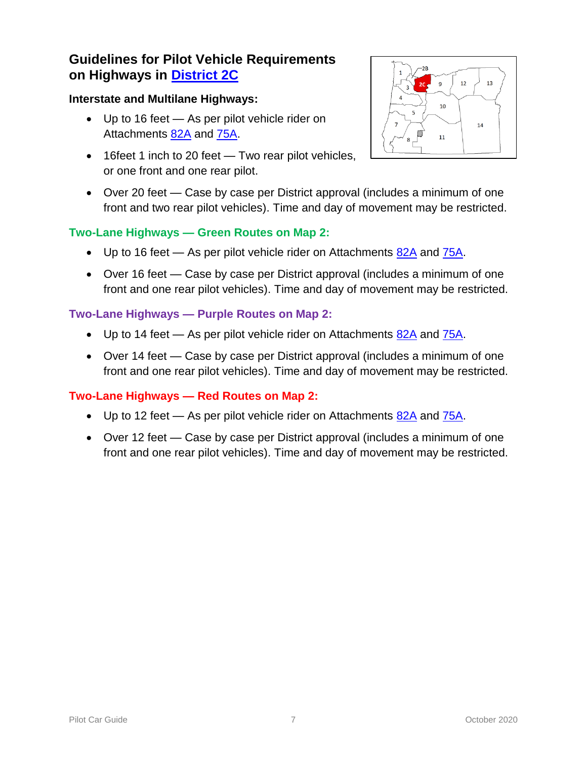#### **Interstate and Multilane Highways:**

- Up to 16 feet As per pilot vehicle rider on Attachments [82A](https://www.oregon.gov/ODOT/Forms/Motcarr/1994.pdf) and [75A.](https://www.oregon.gov/ODOT/Forms/Motcarr/2352.pdf)
- 16feet 1 inch to 20 feet Two rear pilot vehicles, or one front and one rear pilot.



 Over 20 feet — Case by case per District approval (includes a minimum of one front and two rear pilot vehicles). Time and day of movement may be restricted.

### **Two-Lane Highways — Green Routes on Map 2:**

- $\bullet$  Up to 16 feet As per pilot vehicle rider on Attachments  $82A$  and  $75A$ .
- Over 16 feet Case by case per District approval (includes a minimum of one front and one rear pilot vehicles). Time and day of movement may be restricted.

#### **Two-Lane Highways — Purple Routes on Map 2:**

- $\bullet$  Up to 14 feet As per pilot vehicle rider on Attachments [82A](https://www.oregon.gov/ODOT/Forms/Motcarr/1994.pdf) and [75A.](https://www.oregon.gov/ODOT/Forms/Motcarr/2352.pdf)
- Over 14 feet Case by case per District approval (includes a minimum of one front and one rear pilot vehicles). Time and day of movement may be restricted.

- Up to 12 feet As per pilot vehicle rider on Attachments  $82A$  and  $75A$ .
- Over 12 feet Case by case per District approval (includes a minimum of one front and one rear pilot vehicles). Time and day of movement may be restricted.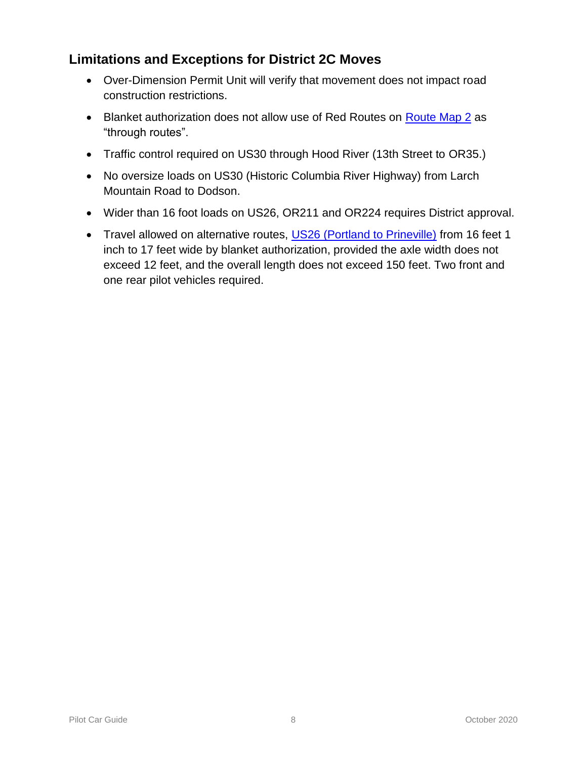# **Limitations and Exceptions for District 2C Moves**

- Over-Dimension Permit Unit will verify that movement does not impact road construction restrictions.
- Blanket authorization does not allow use of Red Routes on [Route Map 2](https://www.oregon.gov/ODOT/Forms/Motcarr/8101.pdf) as "through routes".
- Traffic control required on US30 through Hood River (13th Street to OR35.)
- No oversize loads on US30 (Historic Columbia River Highway) from Larch Mountain Road to Dodson.
- Wider than 16 foot loads on US26, OR211 and OR224 requires District approval.
- Travel allowed on alternative routes, [US26 \(Portland to Prineville\)](https://www.oregon.gov/ODOT/MCT/Documents/US26Over-DimensionRequirements.pdf) from 16 feet 1 inch to 17 feet wide by blanket authorization, provided the axle width does not exceed 12 feet, and the overall length does not exceed 150 feet. Two front and one rear pilot vehicles required.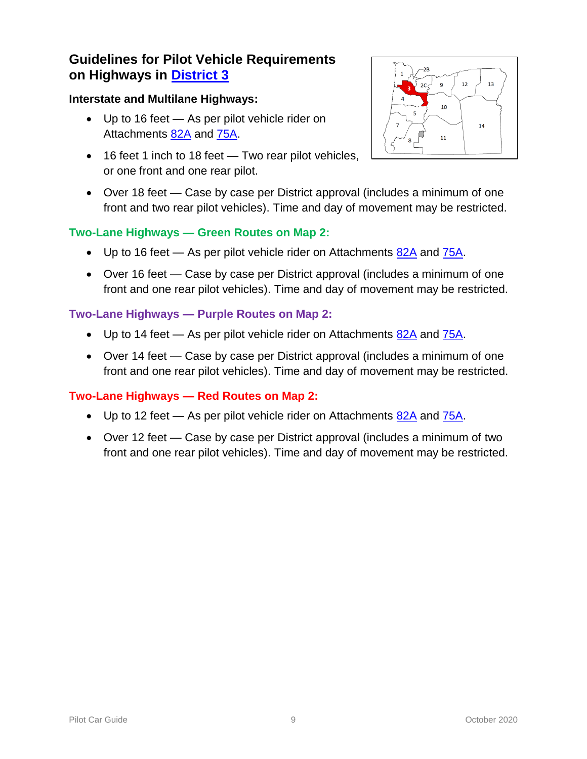#### **Interstate and Multilane Highways:**

- Up to 16 feet As per pilot vehicle rider on Attachments [82A](https://www.oregon.gov/ODOT/Forms/Motcarr/1994.pdf) and [75A.](https://www.oregon.gov/ODOT/Forms/Motcarr/2352.pdf)
- 16 feet 1 inch to 18 feet Two rear pilot vehicles, or one front and one rear pilot.



 Over 18 feet — Case by case per District approval (includes a minimum of one front and two rear pilot vehicles). Time and day of movement may be restricted.

#### **Two-Lane Highways — Green Routes on Map 2:**

- $\bullet$  Up to 16 feet As per pilot vehicle rider on Attachments  $82A$  and  $75A$ .
- Over 16 feet Case by case per District approval (includes a minimum of one front and one rear pilot vehicles). Time and day of movement may be restricted.

#### **Two-Lane Highways — Purple Routes on Map 2:**

- $\bullet$  Up to 14 feet As per pilot vehicle rider on Attachments [82A](https://www.oregon.gov/ODOT/Forms/Motcarr/1994.pdf) and [75A.](https://www.oregon.gov/ODOT/Forms/Motcarr/2352.pdf)
- Over 14 feet Case by case per District approval (includes a minimum of one front and one rear pilot vehicles). Time and day of movement may be restricted.

- Up to 12 feet As per pilot vehicle rider on Attachments  $82A$  and  $75A$ .
- Over 12 feet Case by case per District approval (includes a minimum of two front and one rear pilot vehicles). Time and day of movement may be restricted.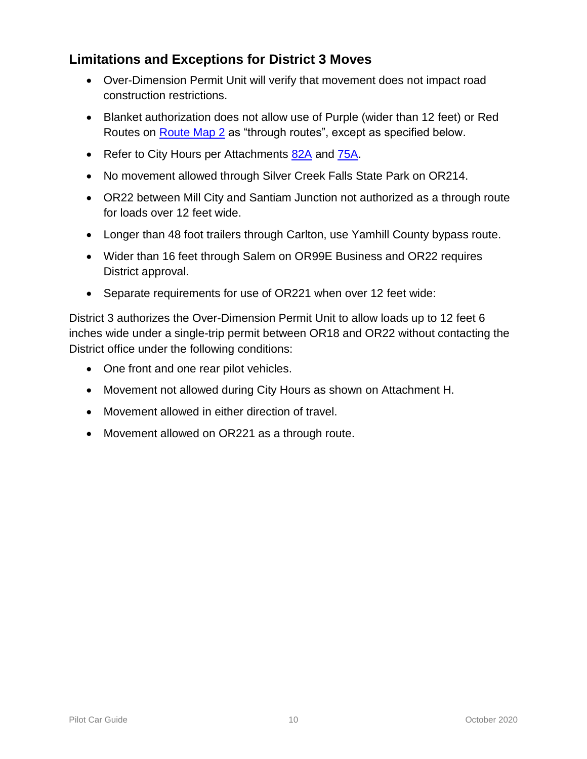# **Limitations and Exceptions for District 3 Moves**

- Over-Dimension Permit Unit will verify that movement does not impact road construction restrictions.
- Blanket authorization does not allow use of Purple (wider than 12 feet) or Red Routes on [Route Map 2](https://www.oregon.gov/ODOT/Forms/Motcarr/8101.pdf) as "through routes", except as specified below.
- Refer to City Hours per Attachments [82A](https://www.oregon.gov/ODOT/Forms/Motcarr/1994.pdf) and [75A.](https://www.oregon.gov/ODOT/Forms/Motcarr/2352.pdf)
- No movement allowed through Silver Creek Falls State Park on OR214.
- OR22 between Mill City and Santiam Junction not authorized as a through route for loads over 12 feet wide.
- Longer than 48 foot trailers through Carlton, use Yamhill County bypass route.
- Wider than 16 feet through Salem on OR99E Business and OR22 requires District approval.
- Separate requirements for use of OR221 when over 12 feet wide:

District 3 authorizes the Over-Dimension Permit Unit to allow loads up to 12 feet 6 inches wide under a single-trip permit between OR18 and OR22 without contacting the District office under the following conditions:

- One front and one rear pilot vehicles.
- Movement not allowed during City Hours as shown on Attachment H.
- Movement allowed in either direction of travel.
- Movement allowed on OR221 as a through route.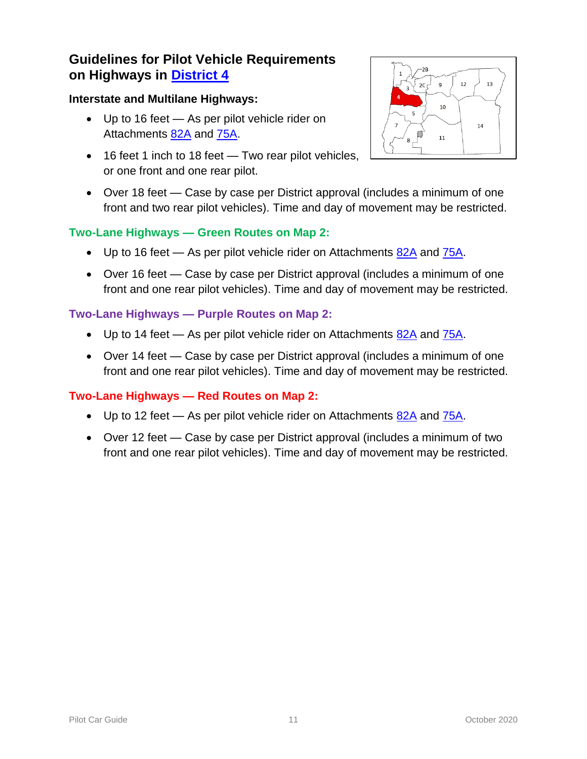#### **Interstate and Multilane Highways:**

- Up to 16 feet As per pilot vehicle rider on Attachments [82A](https://www.oregon.gov/ODOT/Forms/Motcarr/1994.pdf) and [75A.](https://www.oregon.gov/ODOT/Forms/Motcarr/2352.pdf)
- 16 feet 1 inch to 18 feet Two rear pilot vehicles, or one front and one rear pilot.



 Over 18 feet — Case by case per District approval (includes a minimum of one front and two rear pilot vehicles). Time and day of movement may be restricted.

### **Two-Lane Highways — Green Routes on Map 2:**

- $\bullet$  Up to 16 feet As per pilot vehicle rider on Attachments  $82A$  and  $75A$ .
- Over 16 feet Case by case per District approval (includes a minimum of one front and one rear pilot vehicles). Time and day of movement may be restricted.

#### **Two-Lane Highways — Purple Routes on Map 2:**

- $\bullet$  Up to 14 feet As per pilot vehicle rider on Attachments [82A](https://www.oregon.gov/ODOT/Forms/Motcarr/1994.pdf) and [75A.](https://www.oregon.gov/ODOT/Forms/Motcarr/2352.pdf)
- Over 14 feet Case by case per District approval (includes a minimum of one front and one rear pilot vehicles). Time and day of movement may be restricted.

- Up to 12 feet As per pilot vehicle rider on Attachments  $82A$  and  $75A$ .
- Over 12 feet Case by case per District approval (includes a minimum of two front and one rear pilot vehicles). Time and day of movement may be restricted.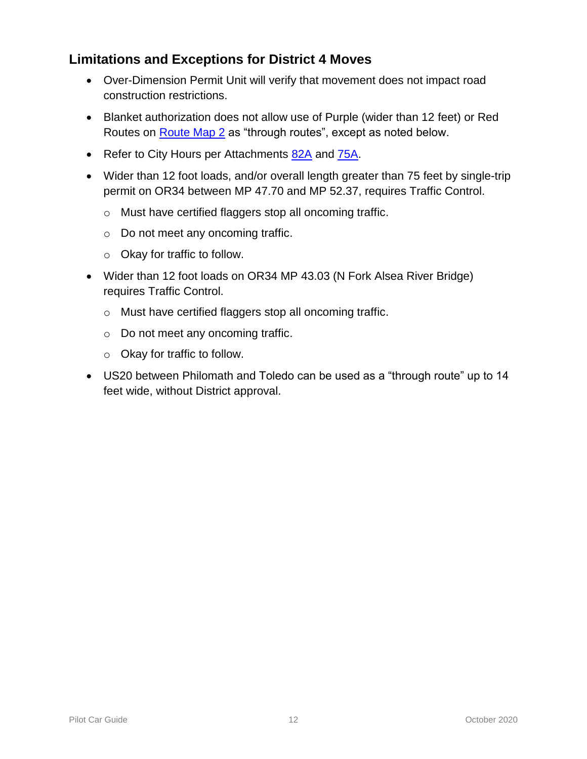# **Limitations and Exceptions for District 4 Moves**

- Over-Dimension Permit Unit will verify that movement does not impact road construction restrictions.
- Blanket authorization does not allow use of Purple (wider than 12 feet) or Red Routes on [Route Map 2](https://www.oregon.gov/ODOT/Forms/Motcarr/8101.pdf) as "through routes", except as noted below.
- Refer to City Hours per Attachments [82A](https://www.oregon.gov/ODOT/Forms/Motcarr/1994.pdf) and [75A.](https://www.oregon.gov/ODOT/Forms/Motcarr/2352.pdf)
- Wider than 12 foot loads, and/or overall length greater than 75 feet by single-trip permit on OR34 between MP 47.70 and MP 52.37, requires Traffic Control.
	- o Must have certified flaggers stop all oncoming traffic.
	- o Do not meet any oncoming traffic.
	- o Okay for traffic to follow.
- Wider than 12 foot loads on OR34 MP 43.03 (N Fork Alsea River Bridge) requires Traffic Control.
	- o Must have certified flaggers stop all oncoming traffic.
	- o Do not meet any oncoming traffic.
	- o Okay for traffic to follow.
- US20 between Philomath and Toledo can be used as a "through route" up to 14 feet wide, without District approval.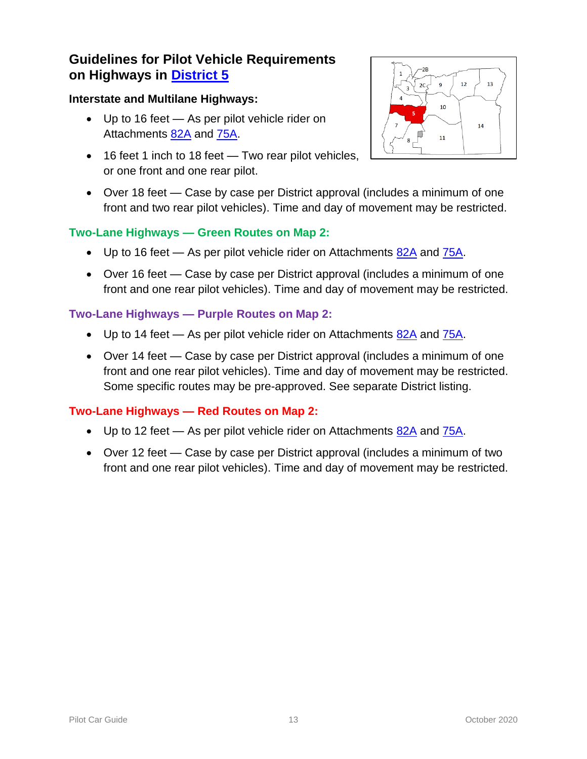#### **Interstate and Multilane Highways:**

- Up to 16 feet As per pilot vehicle rider on Attachments [82A](https://www.oregon.gov/ODOT/Forms/Motcarr/1994.pdf) and [75A.](https://www.oregon.gov/ODOT/Forms/Motcarr/2352.pdf)
- 16 feet 1 inch to 18 feet Two rear pilot vehicles, or one front and one rear pilot.



 Over 18 feet — Case by case per District approval (includes a minimum of one front and two rear pilot vehicles). Time and day of movement may be restricted.

### **Two-Lane Highways — Green Routes on Map 2:**

- $\bullet$  Up to 16 feet As per pilot vehicle rider on Attachments  $82A$  and  $75A$ .
- Over 16 feet Case by case per District approval (includes a minimum of one front and one rear pilot vehicles). Time and day of movement may be restricted.

#### **Two-Lane Highways — Purple Routes on Map 2:**

- Up to 14 feet As per pilot vehicle rider on Attachments [82A](https://www.oregon.gov/ODOT/Forms/Motcarr/1994.pdf) and [75A.](https://www.oregon.gov/ODOT/Forms/Motcarr/2352.pdf)
- Over 14 feet Case by case per District approval (includes a minimum of one front and one rear pilot vehicles). Time and day of movement may be restricted. Some specific routes may be pre-approved. See separate District listing.

- Up to 12 feet As per pilot vehicle rider on Attachments  $82A$  and  $75A$ .
- Over 12 feet Case by case per District approval (includes a minimum of two front and one rear pilot vehicles). Time and day of movement may be restricted.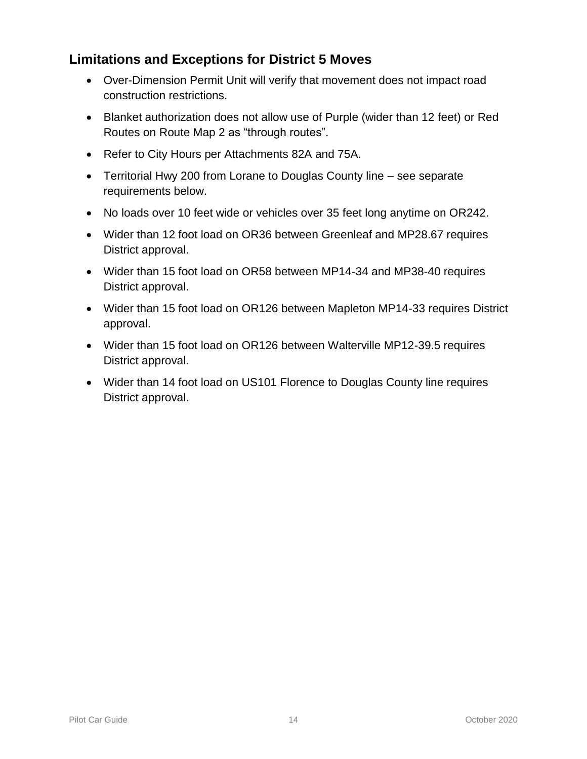# **Limitations and Exceptions for District 5 Moves**

- Over-Dimension Permit Unit will verify that movement does not impact road construction restrictions.
- Blanket authorization does not allow use of Purple (wider than 12 feet) or Red Routes on [Route Map 2](https://www.oregon.gov/ODOT/Forms/Motcarr/8101.pdf) as "through routes".
- Refer to City Hours per Attachments [82A](https://www.oregon.gov/ODOT/Forms/Motcarr/1994.pdf) and [75A.](https://www.oregon.gov/ODOT/Forms/Motcarr/2352.pdf)
- Territorial Hwy 200 from Lorane to Douglas County line see separate requirements below.
- No loads over 10 feet wide or vehicles over 35 feet long anytime on OR242.
- Wider than 12 foot load on OR36 between Greenleaf and MP28.67 requires District approval.
- Wider than 15 foot load on OR58 between MP14-34 and MP38-40 requires District approval.
- Wider than 15 foot load on OR126 between Mapleton MP14-33 requires District approval.
- Wider than 15 foot load on OR126 between Walterville MP12-39.5 requires District approval.
- Wider than 14 foot load on US101 Florence to Douglas County line requires District approval.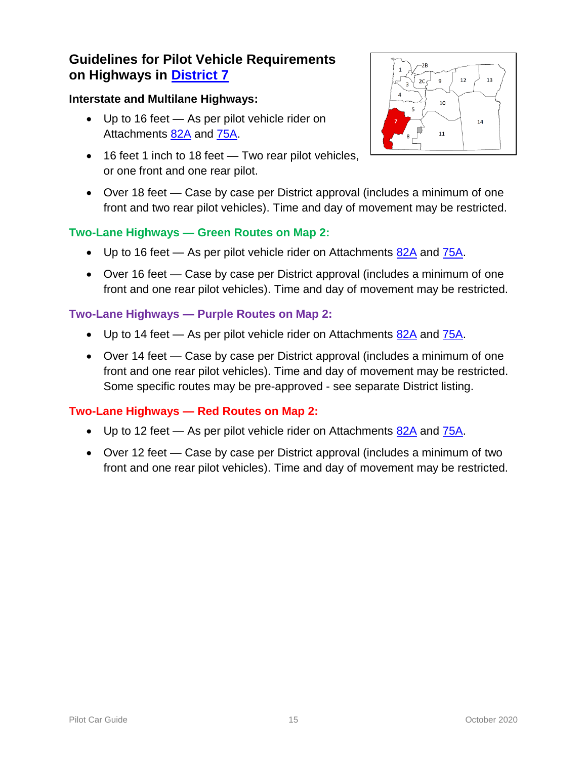#### **Interstate and Multilane Highways:**

- Up to 16 feet As per pilot vehicle rider on Attachments [82A](https://www.oregon.gov/ODOT/Forms/Motcarr/1994.pdf) and [75A.](https://www.oregon.gov/ODOT/Forms/Motcarr/2352.pdf)
- 16 feet 1 inch to 18 feet Two rear pilot vehicles, or one front and one rear pilot.
- Over 18 feet Case by case per District approval (includes a minimum of one front and two rear pilot vehicles). Time and day of movement may be restricted.

### **Two-Lane Highways — Green Routes on Map 2:**

- $\bullet$  Up to 16 feet As per pilot vehicle rider on Attachments  $82A$  and  $75A$ .
- Over 16 feet Case by case per District approval (includes a minimum of one front and one rear pilot vehicles). Time and day of movement may be restricted.

#### **Two-Lane Highways — Purple Routes on Map 2:**

- Up to 14 feet As per pilot vehicle rider on Attachments [82A](https://www.oregon.gov/ODOT/Forms/Motcarr/1994.pdf) and [75A.](https://www.oregon.gov/ODOT/Forms/Motcarr/2352.pdf)
- Over 14 feet Case by case per District approval (includes a minimum of one front and one rear pilot vehicles). Time and day of movement may be restricted. Some specific routes may be pre-approved - see separate District listing.

- Up to 12 feet As per pilot vehicle rider on Attachments  $82A$  and  $75A$ .
- Over 12 feet Case by case per District approval (includes a minimum of two front and one rear pilot vehicles). Time and day of movement may be restricted.

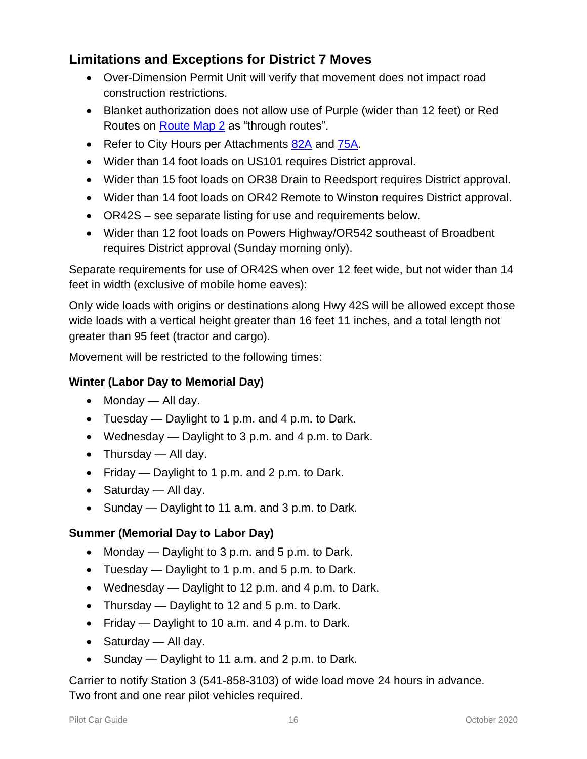# **Limitations and Exceptions for District 7 Moves**

- Over-Dimension Permit Unit will verify that movement does not impact road construction restrictions.
- Blanket authorization does not allow use of Purple (wider than 12 feet) or Red Routes on **Route Map 2** as "through routes".
- Refer to City Hours per Attachments [82A](https://www.oregon.gov/ODOT/Forms/Motcarr/1994.pdf) and [75A.](https://www.oregon.gov/ODOT/Forms/Motcarr/2352.pdf)
- Wider than 14 foot loads on US101 requires District approval.
- Wider than 15 foot loads on OR38 Drain to Reedsport requires District approval.
- Wider than 14 foot loads on OR42 Remote to Winston requires District approval.
- OR42S see separate listing for use and requirements below.
- Wider than 12 foot loads on Powers Highway/OR542 southeast of Broadbent requires District approval (Sunday morning only).

Separate requirements for use of OR42S when over 12 feet wide, but not wider than 14 feet in width (exclusive of mobile home eaves):

Only wide loads with origins or destinations along Hwy 42S will be allowed except those wide loads with a vertical height greater than 16 feet 11 inches, and a total length not greater than 95 feet (tractor and cargo).

Movement will be restricted to the following times:

#### **Winter (Labor Day to Memorial Day)**

- $\bullet$  Monday All day.
- Tuesday Daylight to 1 p.m. and 4 p.m. to Dark.
- Wednesday Daylight to 3 p.m. and 4 p.m. to Dark.
- $\bullet$  Thursday All day.
- Friday Daylight to 1 p.m. and 2 p.m. to Dark.
- $\bullet$  Saturday All day.
- Sunday Daylight to 11 a.m. and 3 p.m. to Dark.

#### **Summer (Memorial Day to Labor Day)**

- Monday  $-$  Daylight to 3 p.m. and 5 p.m. to Dark.
- Tuesday Daylight to 1 p.m. and 5 p.m. to Dark.
- Wednesday Daylight to 12 p.m. and 4 p.m. to Dark.
- Thursday Daylight to 12 and 5 p.m. to Dark.
- Friday  $-$  Daylight to 10 a.m. and 4 p.m. to Dark.
- Saturday All day.
- Sunday Daylight to 11 a.m. and 2 p.m. to Dark.

Carrier to notify Station 3 (541-858-3103) of wide load move 24 hours in advance. Two front and one rear pilot vehicles required.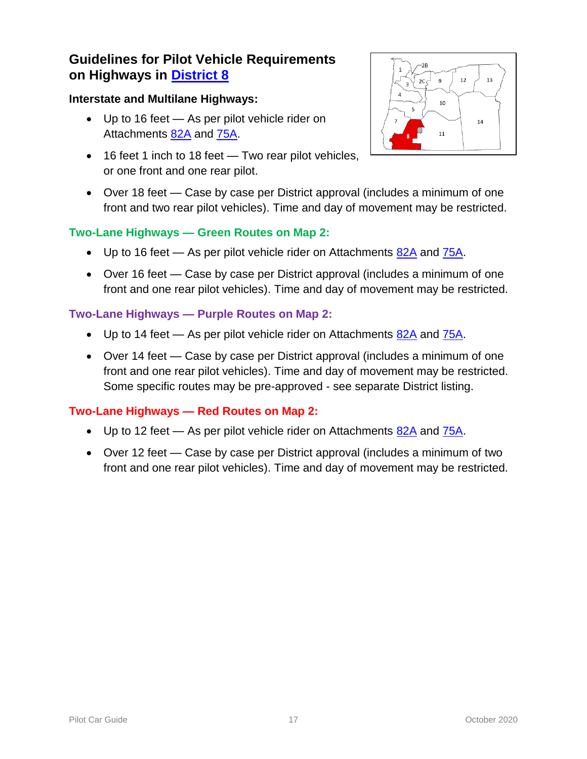#### **Interstate and Multilane Highways:**

- Up to 16 feet As per pilot vehicle rider on Attachments [82A](https://www.oregon.gov/ODOT/Forms/Motcarr/1994.pdf) and [75A.](https://www.oregon.gov/ODOT/Forms/Motcarr/2352.pdf)
- 16 feet 1 inch to 18 feet Two rear pilot vehicles, or one front and one rear pilot.
- Over 18 feet Case by case per District approval (includes a minimum of one front and two rear pilot vehicles). Time and day of movement may be restricted.

### **Two-Lane Highways — Green Routes on Map 2:**

- $\bullet$  Up to 16 feet As per pilot vehicle rider on Attachments  $82A$  and  $75A$ .
- Over 16 feet Case by case per District approval (includes a minimum of one front and one rear pilot vehicles). Time and day of movement may be restricted.

### **Two-Lane Highways — Purple Routes on Map 2:**

- Up to 14 feet As per pilot vehicle rider on Attachments [82A](https://www.oregon.gov/ODOT/Forms/Motcarr/1994.pdf) and [75A.](https://www.oregon.gov/ODOT/Forms/Motcarr/2352.pdf)
- Over 14 feet Case by case per District approval (includes a minimum of one front and one rear pilot vehicles). Time and day of movement may be restricted. Some specific routes may be pre-approved - see separate District listing.

- Up to 12 feet As per pilot vehicle rider on Attachments  $82A$  and  $75A$ .
- Over 12 feet Case by case per District approval (includes a minimum of two front and one rear pilot vehicles). Time and day of movement may be restricted.

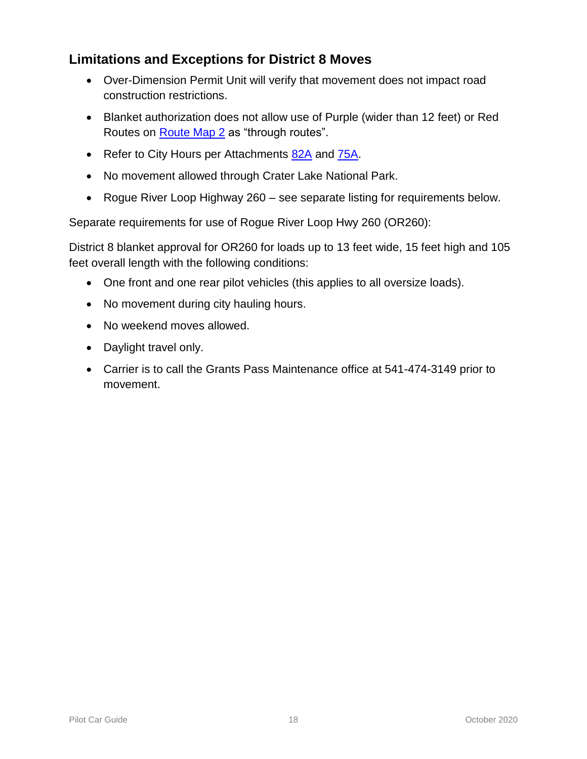# **Limitations and Exceptions for District 8 Moves**

- Over-Dimension Permit Unit will verify that movement does not impact road construction restrictions.
- Blanket authorization does not allow use of Purple (wider than 12 feet) or Red Routes on [Route Map 2](https://www.oregon.gov/ODOT/Forms/Motcarr/8101.pdf) as "through routes".
- Refer to City Hours per Attachments [82A](https://www.oregon.gov/ODOT/Forms/Motcarr/1994.pdf) and [75A.](https://www.oregon.gov/ODOT/Forms/Motcarr/2352.pdf)
- No movement allowed through Crater Lake National Park.
- Rogue River Loop Highway 260 see separate listing for requirements below.

Separate requirements for use of Rogue River Loop Hwy 260 (OR260):

District 8 blanket approval for OR260 for loads up to 13 feet wide, 15 feet high and 105 feet overall length with the following conditions:

- One front and one rear pilot vehicles (this applies to all oversize loads).
- No movement during city hauling hours.
- No weekend moves allowed.
- Daylight travel only.
- Carrier is to call the Grants Pass Maintenance office at 541-474-3149 prior to movement.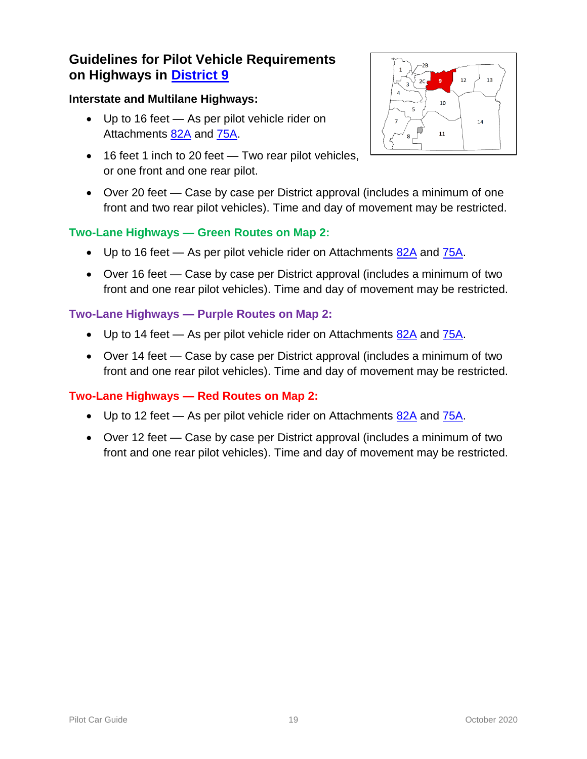#### **Interstate and Multilane Highways:**

- Up to 16 feet As per pilot vehicle rider on Attachments [82A](https://www.oregon.gov/ODOT/Forms/Motcarr/1994.pdf) and [75A.](https://www.oregon.gov/ODOT/Forms/Motcarr/2352.pdf)
- 16 feet 1 inch to 20 feet Two rear pilot vehicles, or one front and one rear pilot.



 Over 20 feet — Case by case per District approval (includes a minimum of one front and two rear pilot vehicles). Time and day of movement may be restricted.

### **Two-Lane Highways — Green Routes on Map 2:**

- $\bullet$  Up to 16 feet As per pilot vehicle rider on Attachments  $82A$  and  $75A$ .
- Over 16 feet Case by case per District approval (includes a minimum of two front and one rear pilot vehicles). Time and day of movement may be restricted.

#### **Two-Lane Highways — Purple Routes on Map 2:**

- $\bullet$  Up to 14 feet As per pilot vehicle rider on Attachments [82A](https://www.oregon.gov/ODOT/Forms/Motcarr/1994.pdf) and [75A.](https://www.oregon.gov/ODOT/Forms/Motcarr/2352.pdf)
- Over 14 feet Case by case per District approval (includes a minimum of two front and one rear pilot vehicles). Time and day of movement may be restricted.

- Up to 12 feet As per pilot vehicle rider on Attachments  $82A$  and  $75A$ .
- Over 12 feet Case by case per District approval (includes a minimum of two front and one rear pilot vehicles). Time and day of movement may be restricted.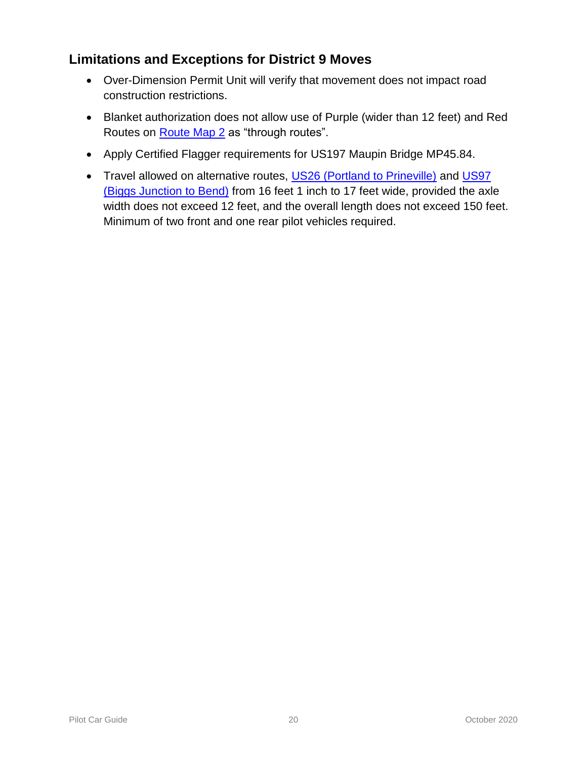# **Limitations and Exceptions for District 9 Moves**

- Over-Dimension Permit Unit will verify that movement does not impact road construction restrictions.
- Blanket authorization does not allow use of Purple (wider than 12 feet) and Red Routes on [Route Map 2](https://www.oregon.gov/ODOT/Forms/Motcarr/8101.pdf) as "through routes".
- Apply Certified Flagger requirements for US197 Maupin Bridge MP45.84.
- Travel allowed on alternative routes, [US26 \(Portland to Prineville\)](https://www.oregon.gov/ODOT/MCT/Documents/US26Over-DimensionRequirements.pdf) and US97 [\(Biggs Junction to Bend\)](https://www.oregon.gov/ODOT/MCT/Documents/US97Over-DimensionRequirements.pdf) from 16 feet 1 inch to 17 feet wide, provided the axle width does not exceed 12 feet, and the overall length does not exceed 150 feet. Minimum of two front and one rear pilot vehicles required.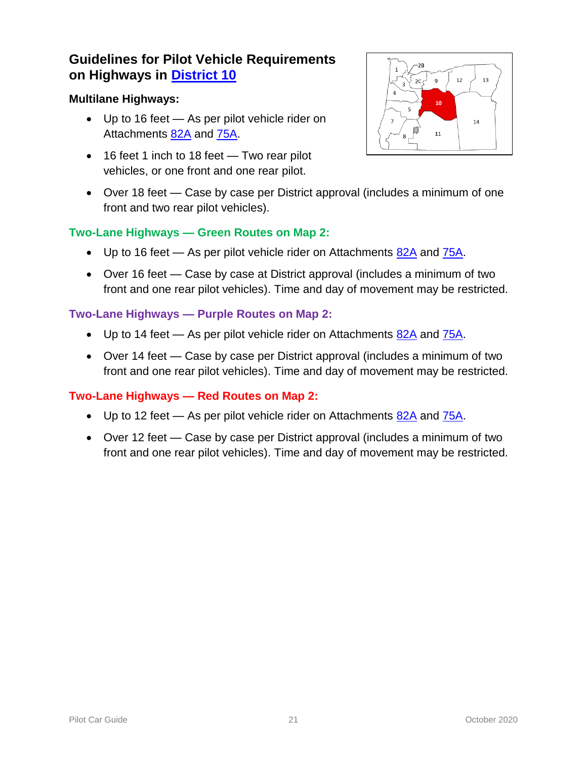#### **Multilane Highways:**

- Up to 16 feet As per pilot vehicle rider on Attachments [82A](https://www.oregon.gov/ODOT/Forms/Motcarr/1994.pdf) and [75A.](https://www.oregon.gov/ODOT/Forms/Motcarr/2352.pdf)
- 16 feet 1 inch to 18 feet Two rear pilot vehicles, or one front and one rear pilot.



 Over 18 feet — Case by case per District approval (includes a minimum of one front and two rear pilot vehicles).

#### **Two-Lane Highways — Green Routes on Map 2:**

- $\bullet$  Up to 16 feet As per pilot vehicle rider on Attachments  $82A$  and  $75A$ .
- Over 16 feet Case by case at District approval (includes a minimum of two front and one rear pilot vehicles). Time and day of movement may be restricted.

#### **Two-Lane Highways — Purple Routes on Map 2:**

- $\bullet$  Up to 14 feet As per pilot vehicle rider on Attachments [82A](https://www.oregon.gov/ODOT/Forms/Motcarr/1994.pdf) and [75A.](https://www.oregon.gov/ODOT/Forms/Motcarr/2352.pdf)
- Over 14 feet Case by case per District approval (includes a minimum of two front and one rear pilot vehicles). Time and day of movement may be restricted.

- Up to 12 feet As per pilot vehicle rider on Attachments  $82A$  and  $75A$ .
- Over 12 feet Case by case per District approval (includes a minimum of two front and one rear pilot vehicles). Time and day of movement may be restricted.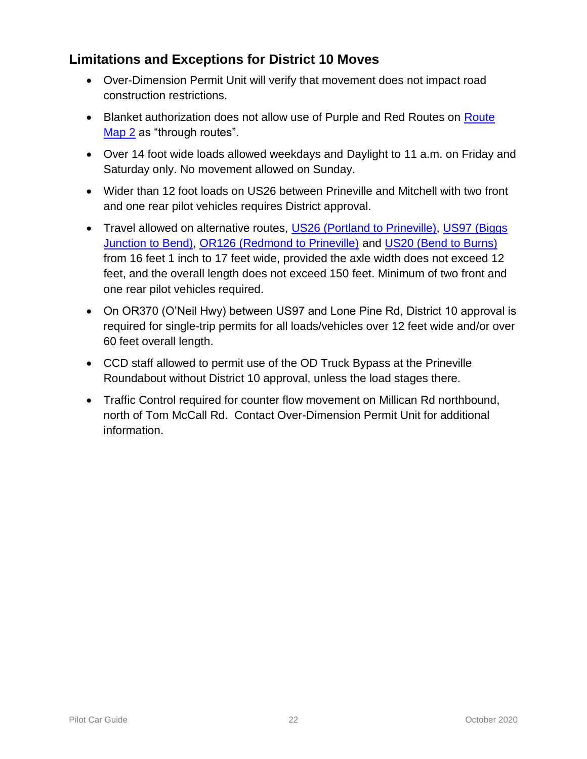# **Limitations and Exceptions for District 10 Moves**

- Over-Dimension Permit Unit will verify that movement does not impact road construction restrictions.
- Blanket authorization does not allow use of Purple and Red Routes on Route [Map 2](https://www.oregon.gov/ODOT/Forms/Motcarr/8101.pdf) as "through routes".
- Over 14 foot wide loads allowed weekdays and Daylight to 11 a.m. on Friday and Saturday only. No movement allowed on Sunday.
- Wider than 12 foot loads on US26 between Prineville and Mitchell with two front and one rear pilot vehicles requires District approval.
- Travel allowed on alternative routes, [US26 \(Portland to Prineville\),](https://www.oregon.gov/ODOT/MCT/Documents/US26Over-DimensionRequirements.pdf) US97 (Biggs [Junction to Bend\),](https://www.oregon.gov/ODOT/MCT/Documents/US97Over-DimensionRequirements.pdf) [OR126 \(Redmond to Prineville\)](https://www.oregon.gov/ODOT/MCT/Documents/OR126Over-DimensionRequirements.pdf) and [US20 \(Bend to Burns\)](https://www.oregon.gov/ODOT/MCT/Documents/US20Over-DimensionRequirements.pdf) from 16 feet 1 inch to 17 feet wide, provided the axle width does not exceed 12 feet, and the overall length does not exceed 150 feet. Minimum of two front and one rear pilot vehicles required.
- On OR370 (O'Neil Hwy) between US97 and Lone Pine Rd, District 10 approval is required for single-trip permits for all loads/vehicles over 12 feet wide and/or over 60 feet overall length.
- CCD staff allowed to permit use of the OD Truck Bypass at the Prineville Roundabout without District 10 approval, unless the load stages there.
- Traffic Control required for counter flow movement on Millican Rd northbound, north of Tom McCall Rd. Contact Over-Dimension Permit Unit for additional information.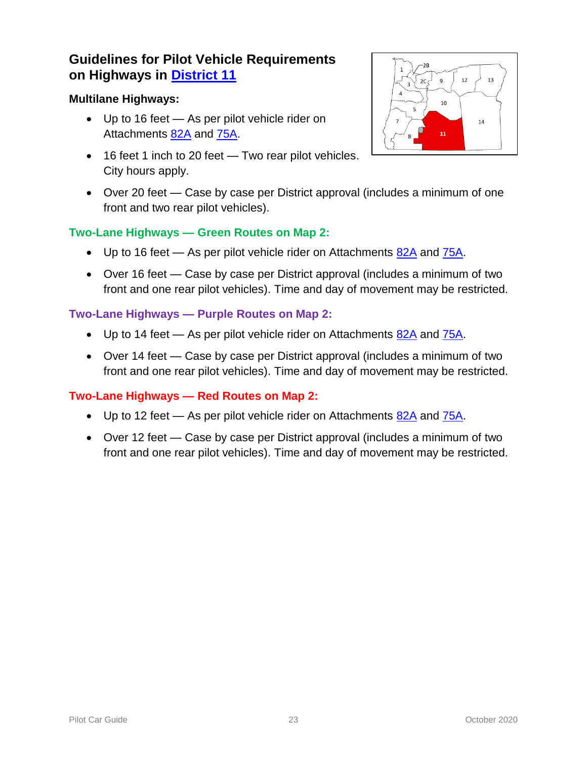#### **Multilane Highways:**

- Up to 16 feet As per pilot vehicle rider on Attachments [82A](https://www.oregon.gov/ODOT/Forms/Motcarr/1994.pdf) and [75A.](https://www.oregon.gov/ODOT/Forms/Motcarr/2352.pdf)
- 16 feet 1 inch to 20 feet Two rear pilot vehicles. City hours apply.



 Over 20 feet — Case by case per District approval (includes a minimum of one front and two rear pilot vehicles).

#### **Two-Lane Highways — Green Routes on Map 2:**

- $\bullet$  Up to 16 feet As per pilot vehicle rider on Attachments  $82A$  and  $75A$ .
- Over 16 feet Case by case per District approval (includes a minimum of two front and one rear pilot vehicles). Time and day of movement may be restricted.

#### **Two-Lane Highways — Purple Routes on Map 2:**

- $\bullet$  Up to 14 feet As per pilot vehicle rider on Attachments [82A](https://www.oregon.gov/ODOT/Forms/Motcarr/1994.pdf) and [75A.](https://www.oregon.gov/ODOT/Forms/Motcarr/2352.pdf)
- Over 14 feet Case by case per District approval (includes a minimum of two front and one rear pilot vehicles). Time and day of movement may be restricted.

- Up to 12 feet As per pilot vehicle rider on Attachments  $82A$  and  $75A$ .
- Over 12 feet Case by case per District approval (includes a minimum of two front and one rear pilot vehicles). Time and day of movement may be restricted.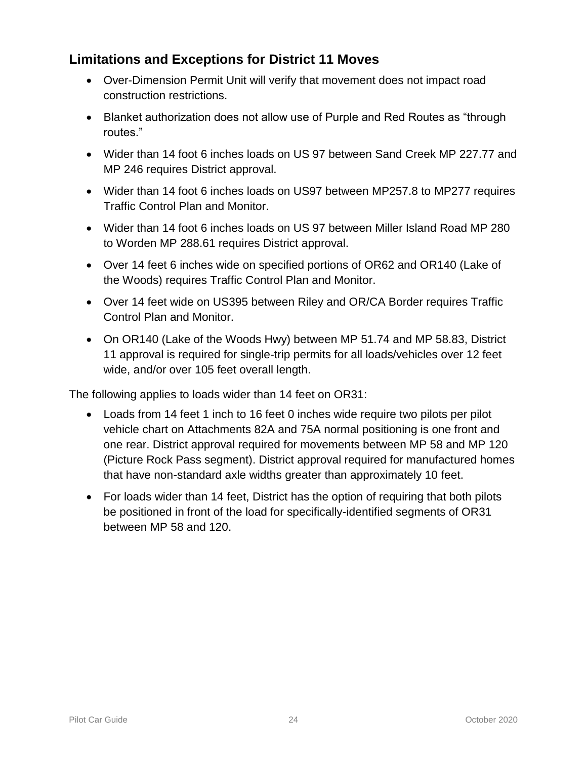# **Limitations and Exceptions for District 11 Moves**

- Over-Dimension Permit Unit will verify that movement does not impact road construction restrictions.
- Blanket authorization does not allow use of Purple and Red Routes as "through routes."
- Wider than 14 foot 6 inches loads on US 97 between Sand Creek MP 227.77 and MP 246 requires District approval.
- Wider than 14 foot 6 inches loads on US97 between MP257.8 to MP277 requires Traffic Control Plan and Monitor.
- Wider than 14 foot 6 inches loads on US 97 between Miller Island Road MP 280 to Worden MP 288.61 requires District approval.
- Over 14 feet 6 inches wide on specified portions of OR62 and OR140 (Lake of the Woods) requires Traffic Control Plan and Monitor.
- Over 14 feet wide on US395 between Riley and OR/CA Border requires Traffic Control Plan and Monitor.
- On OR140 (Lake of the Woods Hwy) between MP 51.74 and MP 58.83, District 11 approval is required for single-trip permits for all loads/vehicles over 12 feet wide, and/or over 105 feet overall length.

The following applies to loads wider than 14 feet on OR31:

- Loads from 14 feet 1 inch to 16 feet 0 inches wide require two pilots per pilot vehicle chart on Attachments 82A and 75A normal positioning is one front and one rear. District approval required for movements between MP 58 and MP 120 (Picture Rock Pass segment). District approval required for manufactured homes that have non-standard axle widths greater than approximately 10 feet.
- For loads wider than 14 feet, District has the option of requiring that both pilots be positioned in front of the load for specifically-identified segments of OR31 between MP 58 and 120.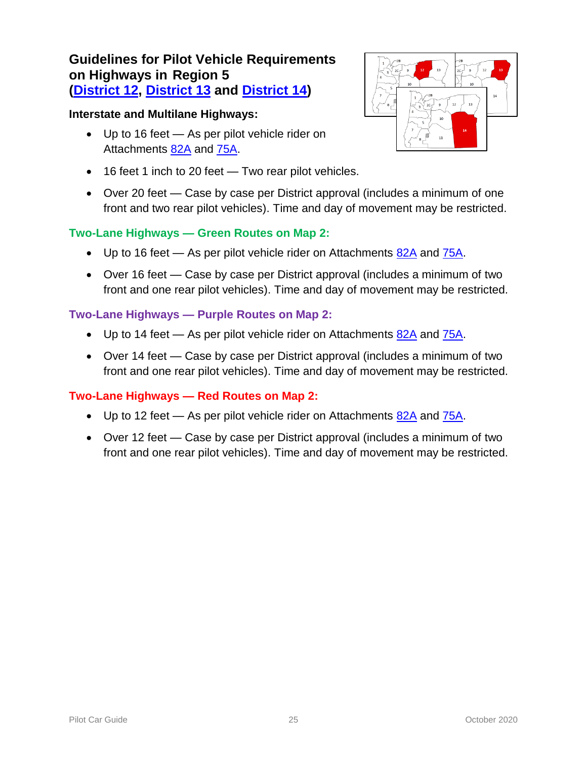### **Guidelines for Pilot Vehicle Requirements on Highways in Region 5 [\(District 12,](https://www.oregon.gov/ODOT/MCT/Documents/Dist12_RM2.pdf) [District 13](https://www.oregon.gov/ODOT/MCT/Documents/Dist13_RM2.pdf) and [District 14\)](https://www.oregon.gov/ODOT/MCT/Documents/Dist14_RM2.pdf)**

#### **Interstate and Multilane Highways:**

- Up to 16 feet As per pilot vehicle rider on Attachments [82A](https://www.oregon.gov/ODOT/Forms/Motcarr/1994.pdf) and [75A.](https://www.oregon.gov/ODOT/Forms/Motcarr/2352.pdf)
- 16 feet 1 inch to 20 feet Two rear pilot vehicles.
- Over 20 feet Case by case per District approval (includes a minimum of one front and two rear pilot vehicles). Time and day of movement may be restricted.

#### **Two-Lane Highways — Green Routes on Map 2:**

- $\bullet$  Up to 16 feet As per pilot vehicle rider on Attachments [82A](https://www.oregon.gov/ODOT/Forms/Motcarr/1994.pdf) and [75A.](https://www.oregon.gov/ODOT/Forms/Motcarr/2352.pdf)
- Over 16 feet Case by case per District approval (includes a minimum of two front and one rear pilot vehicles). Time and day of movement may be restricted.

#### **Two-Lane Highways — Purple Routes on Map 2:**

- $\bullet$  Up to 14 feet As per pilot vehicle rider on Attachments  $82A$  and  $75A$ .
- Over 14 feet Case by case per District approval (includes a minimum of two front and one rear pilot vehicles). Time and day of movement may be restricted.

- Up to 12 feet As per pilot vehicle rider on Attachments  $82A$  and  $75A$ .
- Over 12 feet Case by case per District approval (includes a minimum of two front and one rear pilot vehicles). Time and day of movement may be restricted.